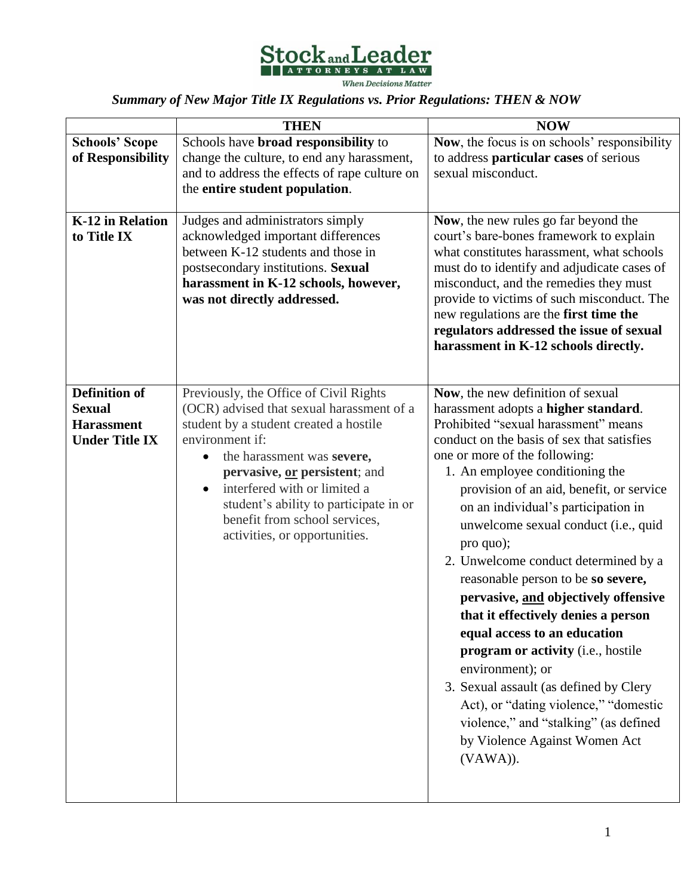

*Summary of New Major Title IX Regulations vs. Prior Regulations: THEN & NOW*

|                                                                                     | <b>THEN</b>                                                                                                                                                                                                                                                                                                                                                 | <b>NOW</b>                                                                                                                                                                                                                                                                                                                                                                                                                                                                                                                                                                                                                                                                                                                                                                                                  |
|-------------------------------------------------------------------------------------|-------------------------------------------------------------------------------------------------------------------------------------------------------------------------------------------------------------------------------------------------------------------------------------------------------------------------------------------------------------|-------------------------------------------------------------------------------------------------------------------------------------------------------------------------------------------------------------------------------------------------------------------------------------------------------------------------------------------------------------------------------------------------------------------------------------------------------------------------------------------------------------------------------------------------------------------------------------------------------------------------------------------------------------------------------------------------------------------------------------------------------------------------------------------------------------|
| <b>Schools' Scope</b><br>of Responsibility                                          | Schools have broad responsibility to<br>change the culture, to end any harassment,<br>and to address the effects of rape culture on<br>the entire student population.                                                                                                                                                                                       | Now, the focus is on schools' responsibility<br>to address particular cases of serious<br>sexual misconduct.                                                                                                                                                                                                                                                                                                                                                                                                                                                                                                                                                                                                                                                                                                |
| <b>K-12 in Relation</b><br>to Title IX                                              | Judges and administrators simply<br>acknowledged important differences<br>between K-12 students and those in<br>postsecondary institutions. Sexual<br>harassment in K-12 schools, however,<br>was not directly addressed.                                                                                                                                   | Now, the new rules go far beyond the<br>court's bare-bones framework to explain<br>what constitutes harassment, what schools<br>must do to identify and adjudicate cases of<br>misconduct, and the remedies they must<br>provide to victims of such misconduct. The<br>new regulations are the first time the<br>regulators addressed the issue of sexual<br>harassment in K-12 schools directly.                                                                                                                                                                                                                                                                                                                                                                                                           |
| <b>Definition of</b><br><b>Sexual</b><br><b>Harassment</b><br><b>Under Title IX</b> | Previously, the Office of Civil Rights<br>(OCR) advised that sexual harassment of a<br>student by a student created a hostile<br>environment if:<br>the harassment was severe,<br>pervasive, or persistent; and<br>interfered with or limited a<br>student's ability to participate in or<br>benefit from school services,<br>activities, or opportunities. | Now, the new definition of sexual<br>harassment adopts a higher standard.<br>Prohibited "sexual harassment" means<br>conduct on the basis of sex that satisfies<br>one or more of the following:<br>1. An employee conditioning the<br>provision of an aid, benefit, or service<br>on an individual's participation in<br>unwelcome sexual conduct (i.e., quid<br>pro quo);<br>2. Unwelcome conduct determined by a<br>reasonable person to be so severe,<br>pervasive, and objectively offensive<br>that it effectively denies a person<br>equal access to an education<br>program or activity (i.e., hostile<br>environment); or<br>3. Sexual assault (as defined by Clery<br>Act), or "dating violence," "domestic<br>violence," and "stalking" (as defined<br>by Violence Against Women Act<br>(VAWA)). |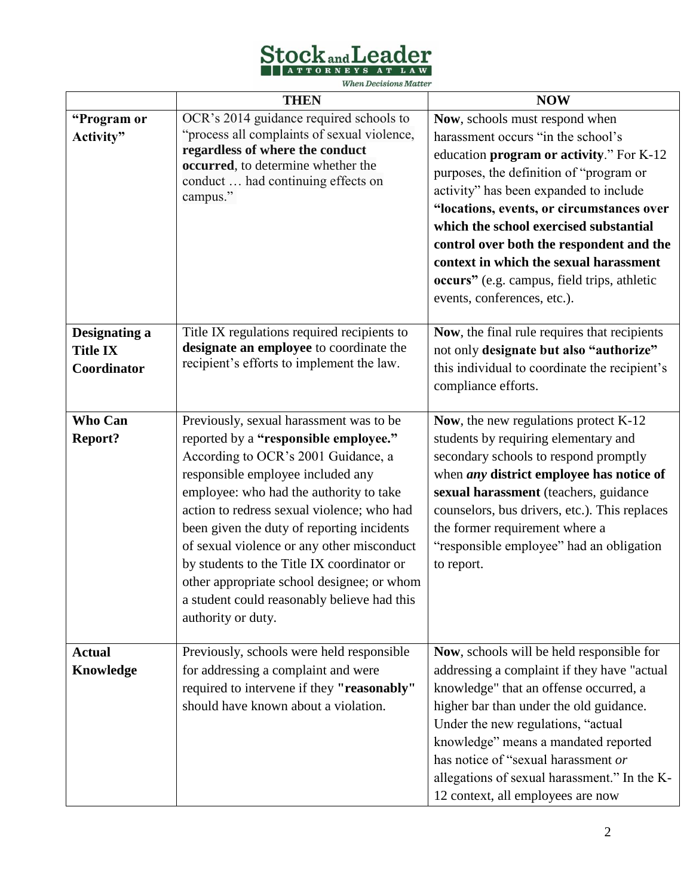Stockand Leader

**When Decisions Matter** 

|                                                 | <b>THEN</b>                                                                                                                                                                                                                                                                                                                                                                                                                                                                                                        | <b>NOW</b>                                                                                                                                                                                                                                                                                                                                                                                                                                                       |
|-------------------------------------------------|--------------------------------------------------------------------------------------------------------------------------------------------------------------------------------------------------------------------------------------------------------------------------------------------------------------------------------------------------------------------------------------------------------------------------------------------------------------------------------------------------------------------|------------------------------------------------------------------------------------------------------------------------------------------------------------------------------------------------------------------------------------------------------------------------------------------------------------------------------------------------------------------------------------------------------------------------------------------------------------------|
| "Program or<br>Activity"                        | OCR's 2014 guidance required schools to<br>"process all complaints of sexual violence,<br>regardless of where the conduct<br>occurred, to determine whether the<br>conduct  had continuing effects on<br>campus."                                                                                                                                                                                                                                                                                                  | Now, schools must respond when<br>harassment occurs "in the school's<br>education program or activity." For K-12<br>purposes, the definition of "program or<br>activity" has been expanded to include<br>"locations, events, or circumstances over<br>which the school exercised substantial<br>control over both the respondent and the<br>context in which the sexual harassment<br>occurs" (e.g. campus, field trips, athletic<br>events, conferences, etc.). |
| Designating a<br><b>Title IX</b><br>Coordinator | Title IX regulations required recipients to<br>designate an employee to coordinate the<br>recipient's efforts to implement the law.                                                                                                                                                                                                                                                                                                                                                                                | Now, the final rule requires that recipients<br>not only designate but also "authorize"<br>this individual to coordinate the recipient's<br>compliance efforts.                                                                                                                                                                                                                                                                                                  |
| <b>Who Can</b><br><b>Report?</b>                | Previously, sexual harassment was to be<br>reported by a "responsible employee."<br>According to OCR's 2001 Guidance, a<br>responsible employee included any<br>employee: who had the authority to take<br>action to redress sexual violence; who had<br>been given the duty of reporting incidents<br>of sexual violence or any other misconduct<br>by students to the Title IX coordinator or<br>other appropriate school designee; or whom<br>a student could reasonably believe had this<br>authority or duty. | Now, the new regulations protect K-12<br>students by requiring elementary and<br>secondary schools to respond promptly<br>when <i>any</i> district employee has notice of<br>sexual harassment (teachers, guidance<br>counselors, bus drivers, etc.). This replaces<br>the former requirement where a<br>"responsible employee" had an obligation<br>to report.                                                                                                  |
| <b>Actual</b><br><b>Knowledge</b>               | Previously, schools were held responsible<br>for addressing a complaint and were<br>required to intervene if they "reasonably"<br>should have known about a violation.                                                                                                                                                                                                                                                                                                                                             | Now, schools will be held responsible for<br>addressing a complaint if they have "actual<br>knowledge" that an offense occurred, a<br>higher bar than under the old guidance.<br>Under the new regulations, "actual<br>knowledge" means a mandated reported<br>has notice of "sexual harassment or<br>allegations of sexual harassment." In the K-<br>12 context, all employees are now                                                                          |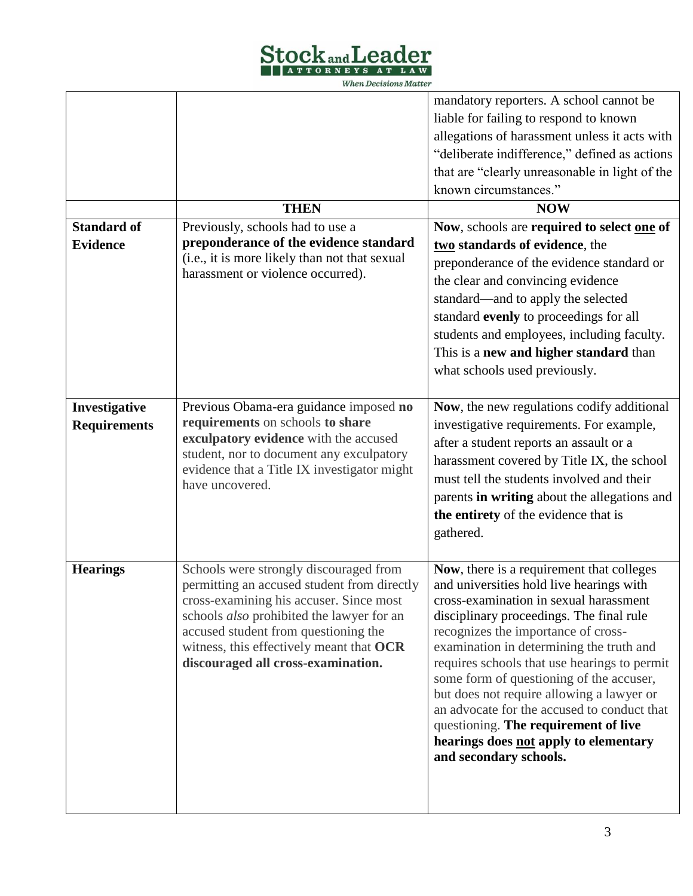

**When Decisions Matter** 

| <b>Standard of</b><br><b>Evidence</b> | <b>THEN</b><br>Previously, schools had to use a<br>preponderance of the evidence standard<br>(i.e., it is more likely than not that sexual<br>harassment or violence occurred).                                                                                                                                | mandatory reporters. A school cannot be<br>liable for failing to respond to known<br>allegations of harassment unless it acts with<br>"deliberate indifference," defined as actions<br>that are "clearly unreasonable in light of the<br>known circumstances."<br><b>NOW</b><br>Now, schools are required to select one of<br>two standards of evidence, the<br>preponderance of the evidence standard or<br>the clear and convincing evidence<br>standard—and to apply the selected<br>standard evenly to proceedings for all<br>students and employees, including faculty.<br>This is a new and higher standard than<br>what schools used previously. |
|---------------------------------------|----------------------------------------------------------------------------------------------------------------------------------------------------------------------------------------------------------------------------------------------------------------------------------------------------------------|---------------------------------------------------------------------------------------------------------------------------------------------------------------------------------------------------------------------------------------------------------------------------------------------------------------------------------------------------------------------------------------------------------------------------------------------------------------------------------------------------------------------------------------------------------------------------------------------------------------------------------------------------------|
| Investigative<br><b>Requirements</b>  | Previous Obama-era guidance imposed no<br>requirements on schools to share<br>exculpatory evidence with the accused<br>student, nor to document any exculpatory<br>evidence that a Title IX investigator might<br>have uncovered.                                                                              | Now, the new regulations codify additional<br>investigative requirements. For example,<br>after a student reports an assault or a<br>harassment covered by Title IX, the school<br>must tell the students involved and their<br>parents in writing about the allegations and<br>the entirety of the evidence that is<br>gathered.                                                                                                                                                                                                                                                                                                                       |
| <b>Hearings</b>                       | Schools were strongly discouraged from<br>permitting an accused student from directly<br>cross-examining his accuser. Since most<br>schools <i>also</i> prohibited the lawyer for an<br>accused student from questioning the<br>witness, this effectively meant that OCR<br>discouraged all cross-examination. | Now, there is a requirement that colleges<br>and universities hold live hearings with<br>cross-examination in sexual harassment<br>disciplinary proceedings. The final rule<br>recognizes the importance of cross-<br>examination in determining the truth and<br>requires schools that use hearings to permit<br>some form of questioning of the accuser,<br>but does not require allowing a lawyer or<br>an advocate for the accused to conduct that<br>questioning. The requirement of live<br>hearings does not apply to elementary<br>and secondary schools.                                                                                       |